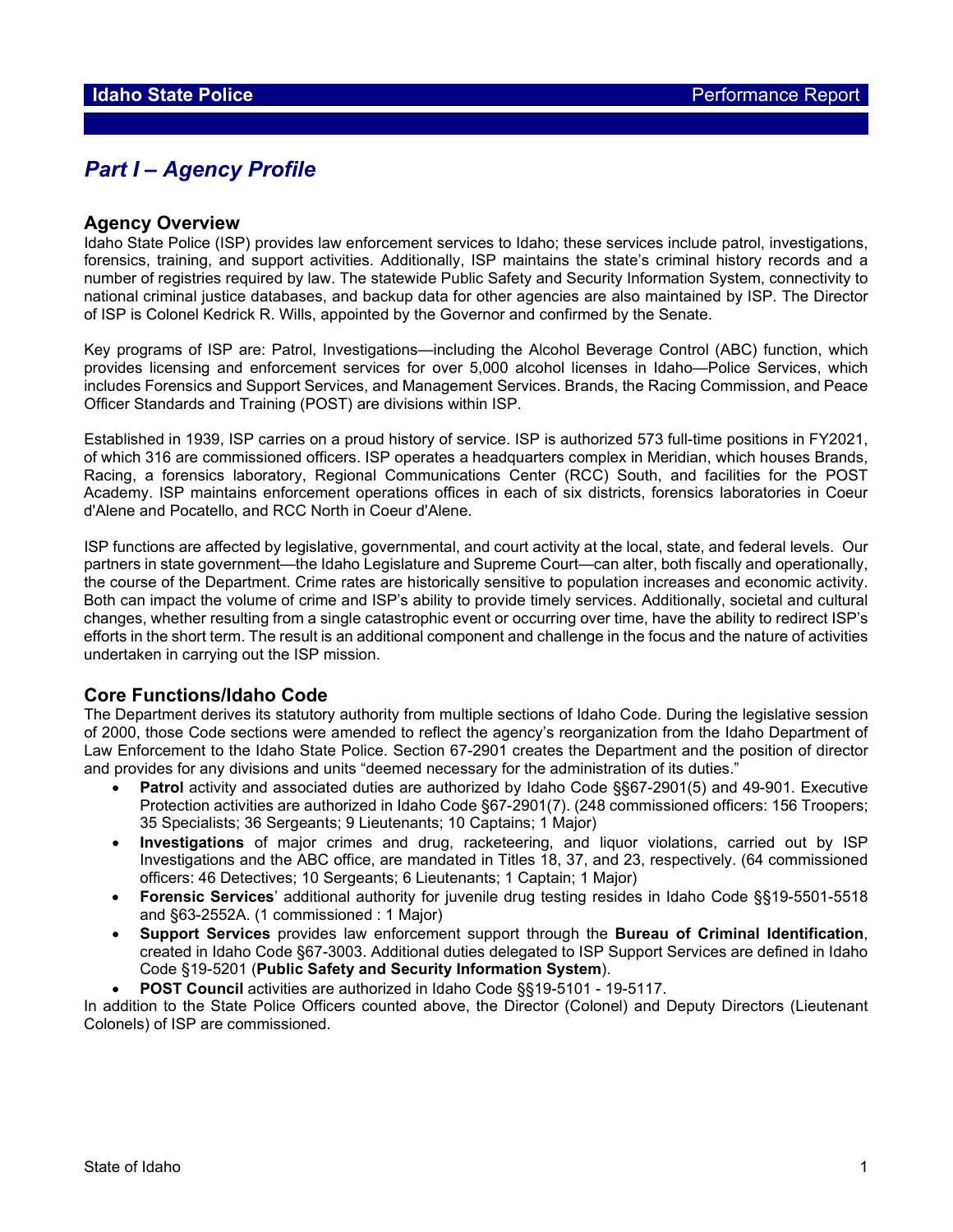## *Part I – Agency Profile*

#### **Agency Overview**

Idaho State Police (ISP) provides law enforcement services to Idaho; these services include patrol, investigations, forensics, training, and support activities. Additionally, ISP maintains the state's criminal history records and a number of registries required by law. The statewide Public Safety and Security Information System, connectivity to national criminal justice databases, and backup data for other agencies are also maintained by ISP. The Director of ISP is Colonel Kedrick R. Wills, appointed by the Governor and confirmed by the Senate.

Key programs of ISP are: Patrol, Investigations—including the Alcohol Beverage Control (ABC) function, which provides licensing and enforcement services for over 5,000 alcohol licenses in Idaho—Police Services, which includes Forensics and Support Services, and Management Services. Brands, the Racing Commission, and Peace Officer Standards and Training (POST) are divisions within ISP.

Established in 1939, ISP carries on a proud history of service. ISP is authorized 573 full-time positions in FY2021, of which 316 are commissioned officers. ISP operates a headquarters complex in Meridian, which houses Brands, Racing, a forensics laboratory, Regional Communications Center (RCC) South, and facilities for the POST Academy. ISP maintains enforcement operations offices in each of six districts, forensics laboratories in Coeur d'Alene and Pocatello, and RCC North in Coeur d'Alene.

ISP functions are affected by legislative, governmental, and court activity at the local, state, and federal levels. Our partners in state government—the Idaho Legislature and Supreme Court—can alter, both fiscally and operationally, the course of the Department. Crime rates are historically sensitive to population increases and economic activity. Both can impact the volume of crime and ISP's ability to provide timely services. Additionally, societal and cultural changes, whether resulting from a single catastrophic event or occurring over time, have the ability to redirect ISP's efforts in the short term. The result is an additional component and challenge in the focus and the nature of activities undertaken in carrying out the ISP mission.

#### **Core Functions/Idaho Code**

The Department derives its statutory authority from multiple sections of Idaho Code. During the legislative session of 2000, those Code sections were amended to reflect the agency's reorganization from the Idaho Department of Law Enforcement to the Idaho State Police. Section 67-2901 creates the Department and the position of director and provides for any divisions and units "deemed necessary for the administration of its duties."

- **Patrol** activity and associated duties are authorized by Idaho Code §§67-2901(5) and 49-901. Executive Protection activities are authorized in Idaho Code §67-2901(7). (248 commissioned officers: 156 Troopers; 35 Specialists; 36 Sergeants; 9 Lieutenants; 10 Captains; 1 Major)
- **Investigations** of major crimes and drug, racketeering, and liquor violations, carried out by ISP Investigations and the ABC office, are mandated in Titles 18, 37, and 23, respectively. (64 commissioned officers: 46 Detectives; 10 Sergeants; 6 Lieutenants; 1 Captain; 1 Major)
- **Forensic Services**' additional authority for juvenile drug testing resides in Idaho Code §§19-5501-5518 and §63-2552A. (1 commissioned : 1 Major)
- **Support Services** provides law enforcement support through the **Bureau of Criminal Identification**, created in Idaho Code §67-3003. Additional duties delegated to ISP Support Services are defined in Idaho Code §19-5201 (**Public Safety and Security Information System**).
- **POST Council** activities are authorized in Idaho Code §§19-5101 19-5117.

In addition to the State Police Officers counted above, the Director (Colonel) and Deputy Directors (Lieutenant Colonels) of ISP are commissioned.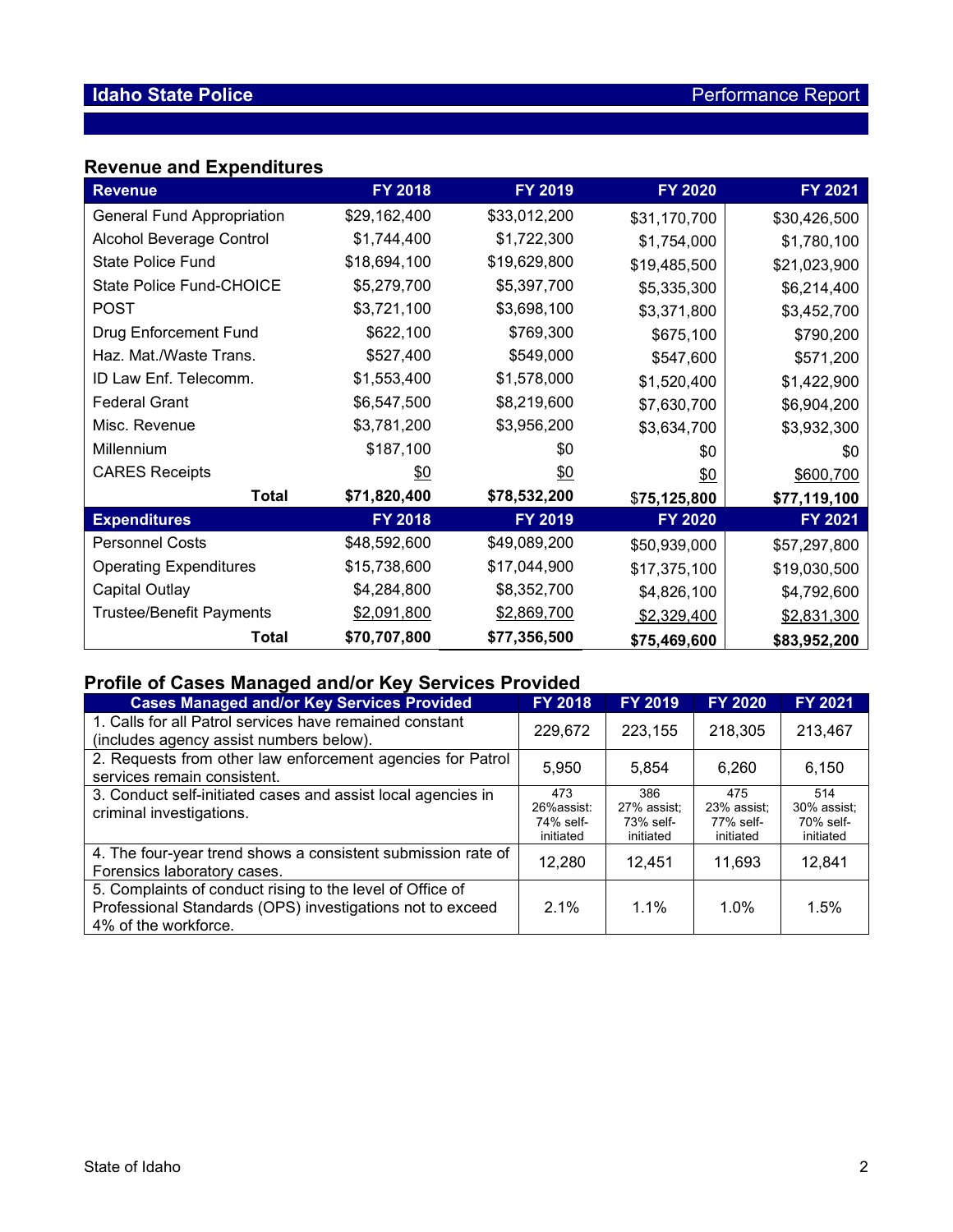## **Revenue and Expenditures**

| <b>Revenue</b>                    | <b>FY 2018</b> | FY 2019        | <b>FY 2020</b> | FY 2021      |
|-----------------------------------|----------------|----------------|----------------|--------------|
| <b>General Fund Appropriation</b> | \$29,162,400   | \$33,012,200   | \$31,170,700   | \$30,426,500 |
| Alcohol Beverage Control          | \$1,744,400    | \$1,722,300    | \$1,754,000    | \$1,780,100  |
| <b>State Police Fund</b>          | \$18,694,100   | \$19,629,800   | \$19,485,500   | \$21,023,900 |
| State Police Fund-CHOICE          | \$5,279,700    | \$5,397,700    | \$5,335,300    | \$6,214,400  |
| <b>POST</b>                       | \$3,721,100    | \$3,698,100    | \$3,371,800    | \$3,452,700  |
| <b>Drug Enforcement Fund</b>      | \$622,100      | \$769,300      | \$675,100      | \$790,200    |
| Haz. Mat./Waste Trans.            | \$527,400      | \$549,000      | \$547,600      | \$571,200    |
| ID Law Enf. Telecomm.             | \$1,553,400    | \$1,578,000    | \$1,520,400    | \$1,422,900  |
| <b>Federal Grant</b>              | \$6,547,500    | \$8,219,600    | \$7,630,700    | \$6,904,200  |
| Misc. Revenue                     | \$3,781,200    | \$3,956,200    | \$3,634,700    | \$3,932,300  |
| Millennium                        | \$187,100      | \$0            | \$0            | \$0          |
| <b>CARES Receipts</b>             | <u>\$0</u>     | <u>\$0</u>     | 60             | \$600,700    |
| <b>Total</b>                      | \$71,820,400   | \$78,532,200   | \$75,125,800   | \$77,119,100 |
| <b>Expenditures</b>               | <b>FY 2018</b> | <b>FY 2019</b> | <b>FY 2020</b> | FY 2021      |
| <b>Personnel Costs</b>            | \$48,592,600   | \$49,089,200   | \$50,939,000   | \$57,297,800 |
| <b>Operating Expenditures</b>     | \$15,738,600   | \$17,044,900   | \$17,375,100   | \$19,030,500 |
| Capital Outlay                    | \$4,284,800    | \$8,352,700    | \$4,826,100    | \$4,792,600  |
| <b>Trustee/Benefit Payments</b>   | \$2,091,800    | \$2,869,700    | \$2,329,400    | \$2,831,300  |
| Total                             | \$70,707,800   | \$77,356,500   | \$75,469,600   | \$83,952,200 |

## **Profile of Cases Managed and/or Key Services Provided**

| <b>Cases Managed and/or Key Services Provided</b>                                                                                              | <b>FY 2018</b>                              | <b>FY 2019</b>                               | <b>FY 2020</b>                               | FY 2021                                      |
|------------------------------------------------------------------------------------------------------------------------------------------------|---------------------------------------------|----------------------------------------------|----------------------------------------------|----------------------------------------------|
| 1. Calls for all Patrol services have remained constant<br>(includes agency assist numbers below).                                             | 229,672                                     | 223.155                                      | 218,305                                      | 213,467                                      |
| 2. Requests from other law enforcement agencies for Patrol<br>services remain consistent.                                                      | 5.950                                       | 5.854                                        | 6.260                                        | 6.150                                        |
| 3. Conduct self-initiated cases and assist local agencies in<br>criminal investigations.                                                       | 473<br>26%assist:<br>74% self-<br>initiated | 386<br>27% assist:<br>73% self-<br>initiated | 475<br>23% assist:<br>77% self-<br>initiated | 514<br>30% assist:<br>70% self-<br>initiated |
| 4. The four-year trend shows a consistent submission rate of<br>Forensics laboratory cases.                                                    | 12,280                                      | 12.451                                       | 11,693                                       | 12,841                                       |
| 5. Complaints of conduct rising to the level of Office of<br>Professional Standards (OPS) investigations not to exceed<br>4% of the workforce. | 2.1%                                        | $1.1\%$                                      | 1.0%                                         | 1.5%                                         |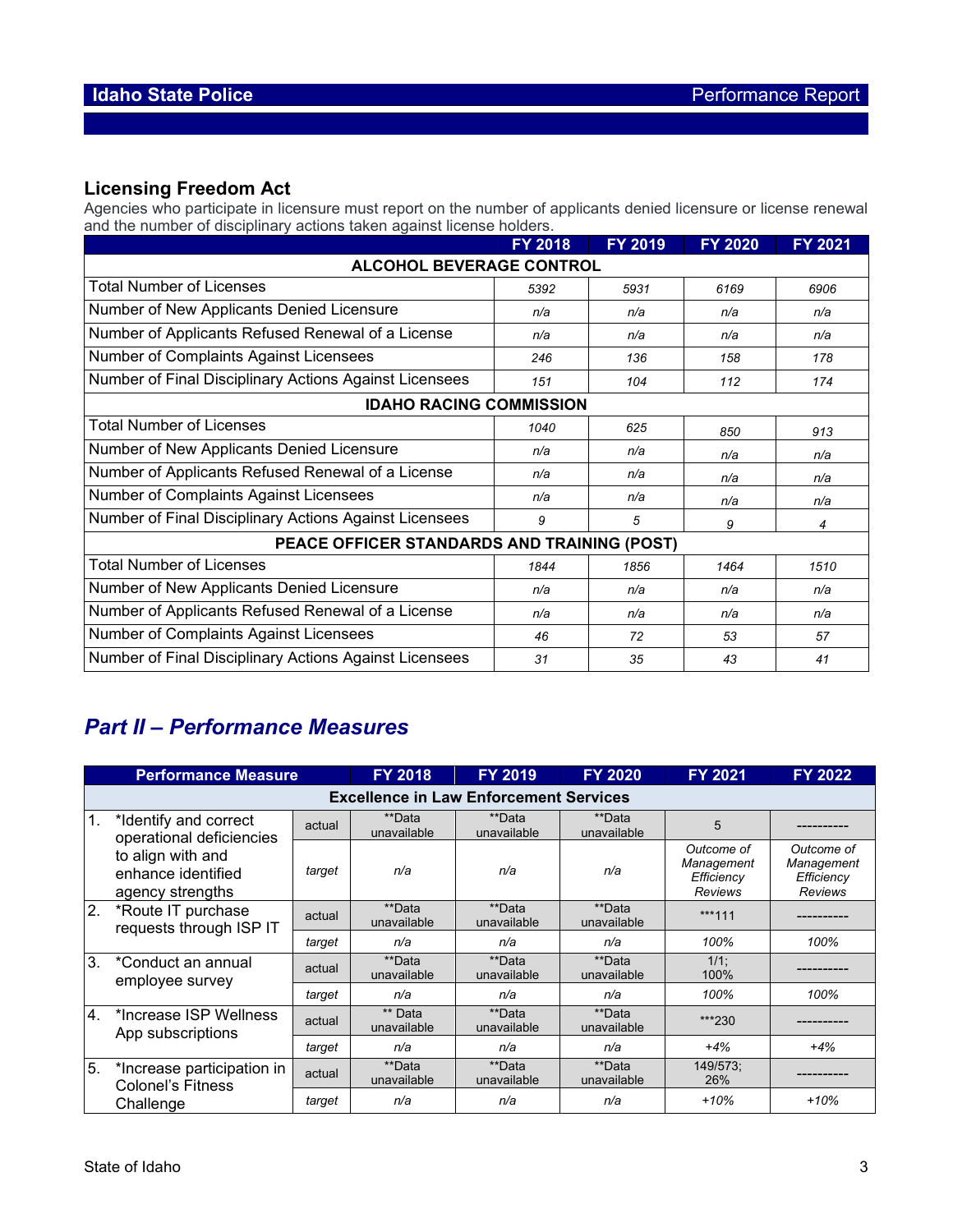## **Licensing Freedom Act**

Agencies who participate in licensure must report on the number of applicants denied licensure or license renewal and the number of disciplinary actions taken against license holders.

|                                                        | FY 2018 | FY 2019 | <b>FY 2020</b> | FY 2021 |  |  |  |  |
|--------------------------------------------------------|---------|---------|----------------|---------|--|--|--|--|
| <b>ALCOHOL BEVERAGE CONTROL</b>                        |         |         |                |         |  |  |  |  |
| <b>Total Number of Licenses</b>                        | 5392    | 5931    | 6169           | 6906    |  |  |  |  |
| Number of New Applicants Denied Licensure              | n/a     | n/a     | n/a            | n/a     |  |  |  |  |
| Number of Applicants Refused Renewal of a License      | n/a     | n/a     | n/a            | n/a     |  |  |  |  |
| Number of Complaints Against Licensees                 | 246     | 136     | 158            | 178     |  |  |  |  |
| Number of Final Disciplinary Actions Against Licensees | 151     | 104     | 112            | 174     |  |  |  |  |
| <b>IDAHO RACING COMMISSION</b>                         |         |         |                |         |  |  |  |  |
| <b>Total Number of Licenses</b>                        | 1040    | 625     | 850            | 913     |  |  |  |  |
| Number of New Applicants Denied Licensure              | n/a     | n/a     | n/a            | n/a     |  |  |  |  |
| Number of Applicants Refused Renewal of a License      | n/a     | n/a     | n/a            | n/a     |  |  |  |  |
| Number of Complaints Against Licensees                 | n/a     | n/a     | n/a            | n/a     |  |  |  |  |
| Number of Final Disciplinary Actions Against Licensees | 9       | 5       | 9              | 4       |  |  |  |  |
| PEACE OFFICER STANDARDS AND TRAINING (POST)            |         |         |                |         |  |  |  |  |
| <b>Total Number of Licenses</b>                        | 1844    | 1856    | 1464           | 1510    |  |  |  |  |
| Number of New Applicants Denied Licensure              | n/a     | n/a     | n/a            | n/a     |  |  |  |  |
| Number of Applicants Refused Renewal of a License      | n/a     | n/a     | n/a            | n/a     |  |  |  |  |
| Number of Complaints Against Licensees                 | 46      | 72      | 53             | 57      |  |  |  |  |
| Number of Final Disciplinary Actions Against Licensees | 31      | 35      | 43             | 41      |  |  |  |  |

# *Part II – Performance Measures*

| <b>Performance Measure</b> |                                                              | <b>FY 2018</b> | <b>FY 2019</b>         | <b>FY 2020</b>        | <b>FY 2021</b>        | <b>FY 2022</b>                                           |                                                          |  |  |
|----------------------------|--------------------------------------------------------------|----------------|------------------------|-----------------------|-----------------------|----------------------------------------------------------|----------------------------------------------------------|--|--|
|                            | <b>Excellence in Law Enforcement Services</b>                |                |                        |                       |                       |                                                          |                                                          |  |  |
| $\mathbf{1}$ .             | *Identify and correct<br>operational deficiencies            | actual         | **Data<br>unavailable  | **Data<br>unavailable | **Data<br>unavailable | 5                                                        |                                                          |  |  |
|                            | to align with and<br>enhance identified<br>agency strengths  | target         | n/a                    | n/a                   | n/a                   | Outcome of<br>Management<br>Efficiency<br><b>Reviews</b> | Outcome of<br>Management<br>Efficiency<br><b>Reviews</b> |  |  |
| $\overline{2}$ .           | *Route IT purchase<br>requests through ISP IT                | actual         | **Data<br>unavailable  | **Data<br>unavailable | **Data<br>unavailable | ***111                                                   |                                                          |  |  |
|                            |                                                              | target         | n/a                    | n/a                   | n/a                   | 100%                                                     | 100%                                                     |  |  |
| 3.                         | *Conduct an annual<br>employee survey                        | actual         | **Data<br>unavailable  | **Data<br>unavailable | **Data<br>unavailable | $1/1$ ;<br>100%                                          |                                                          |  |  |
|                            |                                                              | target         | n/a                    | n/a                   | n/a                   | 100%                                                     | 100%                                                     |  |  |
| 4.                         | *Increase ISP Wellness<br>App subscriptions                  | actual         | ** Data<br>unavailable | **Data<br>unavailable | **Data<br>unavailable | ***230                                                   |                                                          |  |  |
|                            |                                                              | target         | n/a                    | n/a                   | n/a                   | $+4%$                                                    | $+4%$                                                    |  |  |
| 5.                         | *Increase participation in<br>Colonel's Fitness<br>Challenge | actual         | **Data<br>unavailable  | **Data<br>unavailable | **Data<br>unavailable | 149/573;<br>26%                                          |                                                          |  |  |
|                            |                                                              | target         | n/a                    | n/a                   | n/a                   | $+10%$                                                   | $+10%$                                                   |  |  |